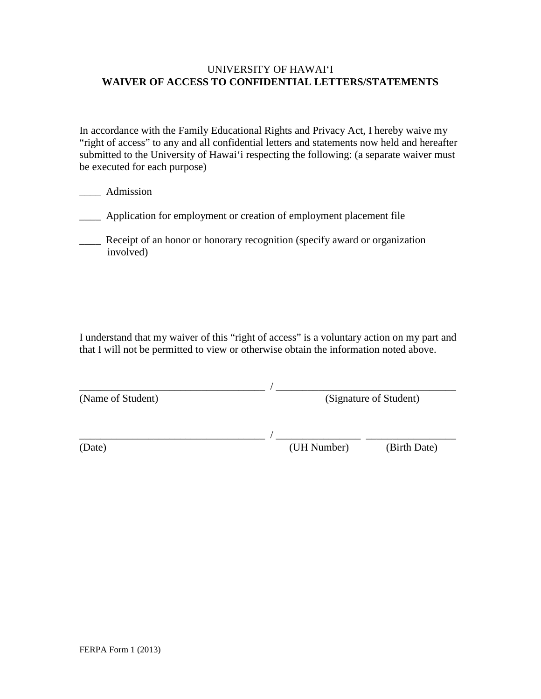#### UNIVERSITY OF HAWAI'I **WAIVER OF ACCESS TO CONFIDENTIAL LETTERS/STATEMENTS**

In accordance with the Family Educational Rights and Privacy Act, I hereby waive my "right of access" to any and all confidential letters and statements now held and hereafter submitted to the University of Hawai'i respecting the following: (a separate waiver must be executed for each purpose)

- \_\_\_\_ Admission
- \_\_\_\_ Application for employment or creation of employment placement file
- \_\_\_\_ Receipt of an honor or honorary recognition (specify award or organization involved)

I understand that my waiver of this "right of access" is a voluntary action on my part and that I will not be permitted to view or otherwise obtain the information noted above.

| (Name of Student) | (Signature of Student) |
|-------------------|------------------------|
|                   |                        |

\_\_\_\_\_\_\_\_\_\_\_\_\_\_\_\_\_\_\_\_\_\_\_\_\_\_\_\_\_\_\_\_\_\_\_ / \_\_\_\_\_\_\_\_\_\_\_\_\_\_\_\_ \_\_\_\_\_\_\_\_\_\_\_\_\_\_\_\_\_

(Date) (UH Number) (Birth Date)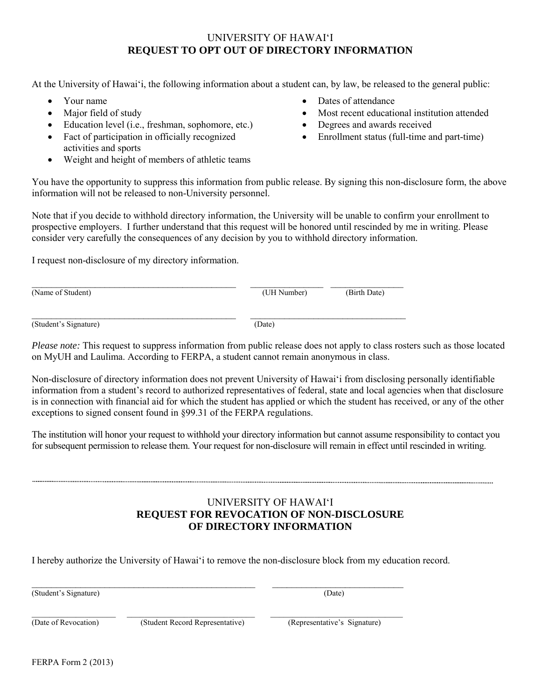### UNIVERSITY OF HAWAI'I **REQUEST TO OPT OUT OF DIRECTORY INFORMATION**

At the University of Hawai'i, the following information about a student can, by law, be released to the general public:

- Your name
- Major field of study
- Education level (i.e., freshman, sophomore, etc.)
- Fact of participation in officially recognized activities and sports
- Weight and height of members of athletic teams
- Dates of attendance
- Most recent educational institution attended
- Degrees and awards received
- Enrollment status (full-time and part-time)

You have the opportunity to suppress this information from public release. By signing this non-disclosure form, the above information will not be released to non-University personnel.

Note that if you decide to withhold directory information, the University will be unable to confirm your enrollment to prospective employers. I further understand that this request will be honored until rescinded by me in writing. Please consider very carefully the consequences of any decision by you to withhold directory information.

I request non-disclosure of my directory information.

| (Name of Student)     | (UH Number) | (Birth Date) |  |
|-----------------------|-------------|--------------|--|
| (Student's Signature) | (Date)      |              |  |

*Please note:* This request to suppress information from public release does not apply to class rosters such as those located on MyUH and Laulima. According to FERPA, a student cannot remain anonymous in class.

Non-disclosure of directory information does not prevent University of Hawai'i from disclosing personally identifiable information from a student's record to authorized representatives of federal, state and local agencies when that disclosure is in connection with financial aid for which the student has applied or which the student has received, or any of the other exceptions to signed consent found in §99.31 of the FERPA regulations.

The institution will honor your request to withhold your directory information but cannot assume responsibility to contact you for subsequent permission to release them. Your request for non-disclosure will remain in effect until rescinded in writing.

### UNIVERSITY OF HAWAI'I **REQUEST FOR REVOCATION OF NON-DISCLOSURE OF DIRECTORY INFORMATION**

I hereby authorize the University of Hawai'i to remove the non-disclosure block from my education record.

\_\_\_\_\_\_\_\_\_\_\_\_\_\_\_\_\_\_\_\_\_\_\_\_\_\_\_\_\_\_\_\_\_\_\_\_\_\_\_\_\_\_\_\_\_\_ \_\_\_\_\_\_\_\_\_\_\_\_\_\_\_\_\_\_\_\_\_\_\_\_\_\_\_ (Student's Signature) (Date)

(Date of Revocation) (Student Record Representative) (Representative's Signature)

 $\_$  ,  $\_$  ,  $\_$  ,  $\_$  ,  $\_$  ,  $\_$  ,  $\_$  ,  $\_$  ,  $\_$  ,  $\_$  ,  $\_$  ,  $\_$  ,  $\_$  ,  $\_$  ,  $\_$  ,  $\_$  ,  $\_$  ,  $\_$  ,  $\_$  ,  $\_$  ,  $\_$  ,  $\_$  ,  $\_$  ,  $\_$  ,  $\_$  ,  $\_$  ,  $\_$  ,  $\_$  ,  $\_$  ,  $\_$  ,  $\_$  ,  $\_$  ,  $\_$  ,  $\_$  ,  $\_$  ,  $\_$  ,  $\_$  ,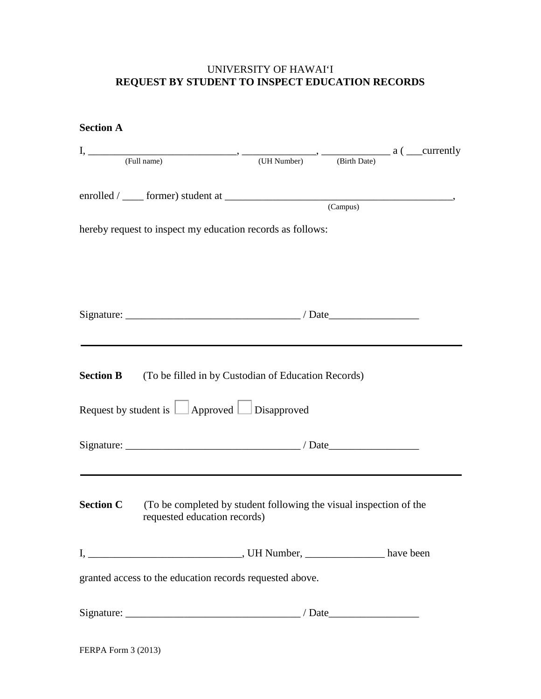# UNIVERSITY OF HAWAI'I **REQUEST BY STUDENT TO INSPECT EDUCATION RECORDS**

| <b>Section A</b> |                                                                                                                                                                                                      |          |  |
|------------------|------------------------------------------------------------------------------------------------------------------------------------------------------------------------------------------------------|----------|--|
|                  | $I, \underline{\hspace{1cm}}$ (Full name) $\longrightarrow \underline{\hspace{1cm}}$ (UH Number) $\longrightarrow$ $\underline{\hspace{1cm}}$ (Birth Date) $a \ (\underline{\hspace{1cm}}$ currently |          |  |
|                  |                                                                                                                                                                                                      |          |  |
|                  |                                                                                                                                                                                                      |          |  |
|                  |                                                                                                                                                                                                      | (Campus) |  |
|                  | hereby request to inspect my education records as follows:                                                                                                                                           |          |  |
|                  |                                                                                                                                                                                                      |          |  |
|                  |                                                                                                                                                                                                      |          |  |
|                  |                                                                                                                                                                                                      |          |  |
|                  |                                                                                                                                                                                                      |          |  |
|                  |                                                                                                                                                                                                      |          |  |
|                  |                                                                                                                                                                                                      |          |  |
|                  | <b>Section B</b> (To be filled in by Custodian of Education Records)                                                                                                                                 |          |  |
|                  |                                                                                                                                                                                                      |          |  |
|                  | Request by student is $\Box$ Approved $\Box$ Disapproved                                                                                                                                             |          |  |
|                  |                                                                                                                                                                                                      |          |  |
|                  |                                                                                                                                                                                                      |          |  |
|                  |                                                                                                                                                                                                      |          |  |
|                  | <b>Section C</b> (To be completed by student following the visual inspection of the                                                                                                                  |          |  |
|                  | requested education records)                                                                                                                                                                         |          |  |
|                  |                                                                                                                                                                                                      |          |  |
|                  |                                                                                                                                                                                                      |          |  |
|                  | granted access to the education records requested above.                                                                                                                                             |          |  |
|                  |                                                                                                                                                                                                      |          |  |
|                  |                                                                                                                                                                                                      |          |  |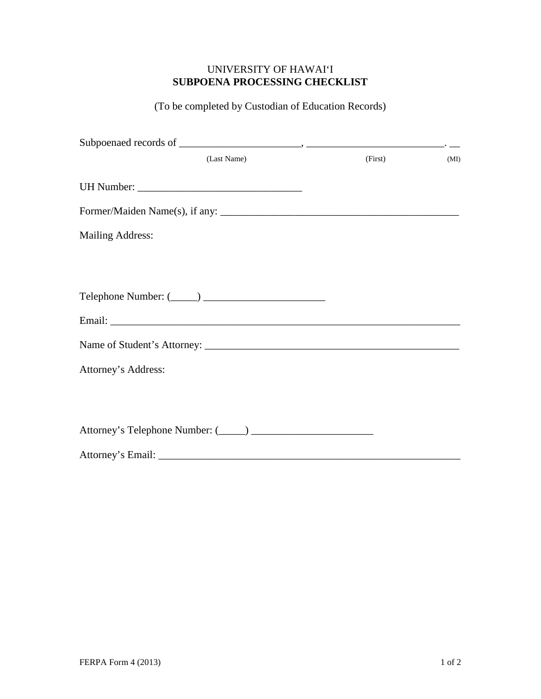## UNIVERSITY OF HAWAI'I **SUBPOENA PROCESSING CHECKLIST**

(To be completed by Custodian of Education Records)

| (Last Name)                    | (First) | (MI) |
|--------------------------------|---------|------|
|                                |         |      |
| Former/Maiden Name(s), if any: |         |      |
| <b>Mailing Address:</b>        |         |      |
|                                |         |      |
|                                |         |      |
|                                |         |      |
|                                |         |      |
| Attorney's Address:            |         |      |
|                                |         |      |
|                                |         |      |
|                                |         |      |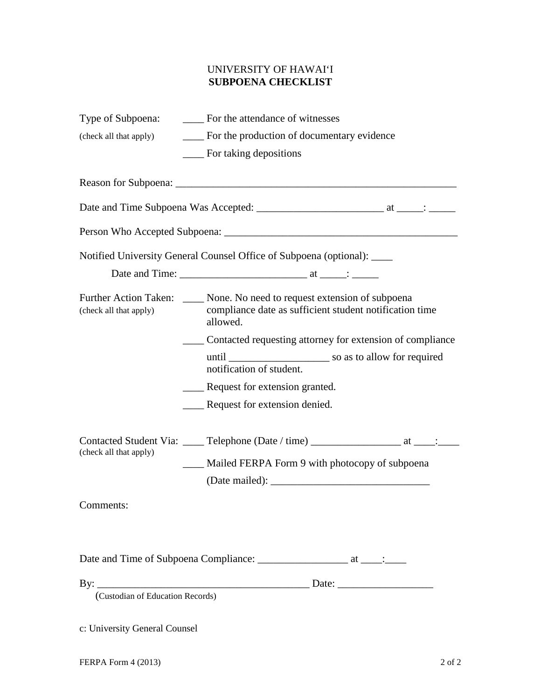# UNIVERSITY OF HAWAI'I **SUBPOENA CHECKLIST**

|                                  | Type of Subpoena: _______ For the attendance of witnesses                                                                                                                                                                      |
|----------------------------------|--------------------------------------------------------------------------------------------------------------------------------------------------------------------------------------------------------------------------------|
| (check all that apply)           | ____ For the production of documentary evidence                                                                                                                                                                                |
|                                  | ____ For taking depositions                                                                                                                                                                                                    |
|                                  |                                                                                                                                                                                                                                |
|                                  |                                                                                                                                                                                                                                |
|                                  |                                                                                                                                                                                                                                |
|                                  | Notified University General Counsel Office of Subpoena (optional): ____                                                                                                                                                        |
|                                  |                                                                                                                                                                                                                                |
| (check all that apply)           | Further Action Taken: None. No need to request extension of subpoena<br>compliance date as sufficient student notification time<br>allowed.                                                                                    |
|                                  | ____ Contacted requesting attorney for extension of compliance                                                                                                                                                                 |
|                                  | notification of student.                                                                                                                                                                                                       |
|                                  | _____ Request for extension granted.                                                                                                                                                                                           |
|                                  | Request for extension denied.                                                                                                                                                                                                  |
| (check all that apply)           | Contacted Student Via: _____ Telephone (Date / time) _____________________ at ____: _____                                                                                                                                      |
|                                  | Mailed FERPA Form 9 with photocopy of subpoena                                                                                                                                                                                 |
|                                  | (Date mailed): Universe of the mail of the mail of the state of the state of the state of the state of the state of the state of the state of the state of the state of the state of the state of the state of the state of th |
| Comments:                        |                                                                                                                                                                                                                                |
|                                  |                                                                                                                                                                                                                                |
|                                  |                                                                                                                                                                                                                                |
|                                  |                                                                                                                                                                                                                                |
| (Custodian of Education Records) |                                                                                                                                                                                                                                |

c: University General Counsel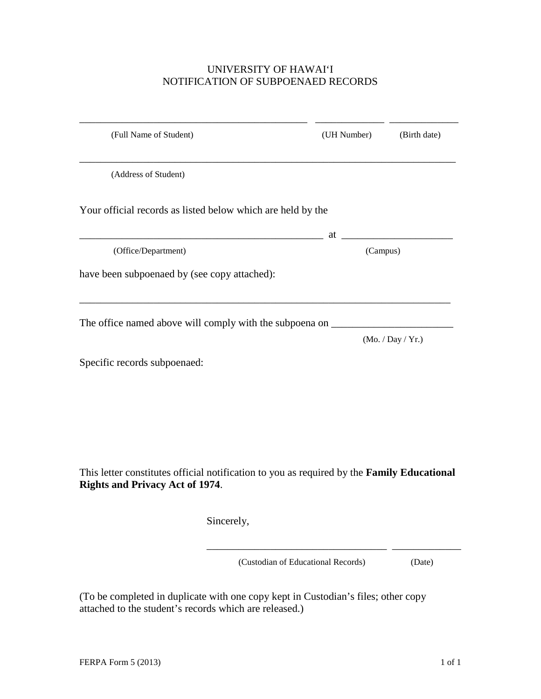### UNIVERSITY OF HAWAI'I NOTIFICATION OF SUBPOENAED RECORDS

| (Full Name of Student)                                                                                                               | (UH Number)                        | (Birth date)      |
|--------------------------------------------------------------------------------------------------------------------------------------|------------------------------------|-------------------|
| (Address of Student)                                                                                                                 |                                    |                   |
| Your official records as listed below which are held by the                                                                          |                                    |                   |
|                                                                                                                                      | at                                 |                   |
| (Office/Department)                                                                                                                  |                                    | (Campus)          |
| have been subpoenaed by (see copy attached):                                                                                         |                                    |                   |
| The office named above will comply with the subpoena on _                                                                            |                                    |                   |
|                                                                                                                                      |                                    | (Mo. / Day / Yr.) |
| Specific records subpoenaed:                                                                                                         |                                    |                   |
|                                                                                                                                      |                                    |                   |
|                                                                                                                                      |                                    |                   |
|                                                                                                                                      |                                    |                   |
|                                                                                                                                      |                                    |                   |
|                                                                                                                                      |                                    |                   |
| This letter constitutes official notification to you as required by the Family Educational<br><b>Rights and Privacy Act of 1974.</b> |                                    |                   |
| Sincerely,                                                                                                                           |                                    |                   |
|                                                                                                                                      | (Custodian of Educational Records) | (Date)            |

(To be completed in duplicate with one copy kept in Custodian's files; other copy attached to the student's records which are released.)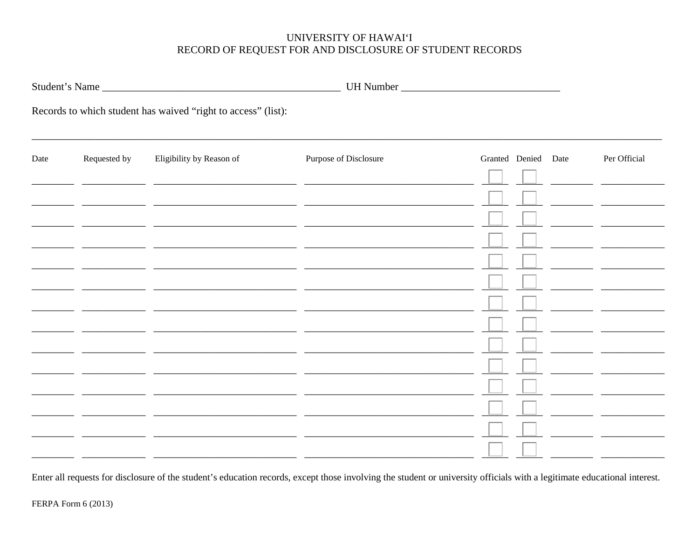# UNIVERSITY OF HAWAI'I RECORD OF REQUEST FOR AND DISCLOSURE OF STUDENT RECORDS

|      |              | Student's Name                                                |                                              |                     |  |              |
|------|--------------|---------------------------------------------------------------|----------------------------------------------|---------------------|--|--------------|
|      |              | Records to which student has waived "right to access" (list): |                                              |                     |  |              |
| Date | Requested by | Eligibility by Reason of                                      | Purpose of Disclosure                        | Granted Denied Date |  | Per Official |
|      |              |                                                               |                                              |                     |  |              |
|      |              |                                                               |                                              |                     |  |              |
|      |              |                                                               | <u> 2000 - Andrea Andrew Maria (b. 2000)</u> |                     |  |              |
|      |              |                                                               |                                              |                     |  |              |
|      |              |                                                               |                                              |                     |  |              |
|      |              | <u> 1989 - Alexandr Alexandr III, martx</u>                   |                                              |                     |  |              |
|      |              |                                                               |                                              |                     |  |              |
|      |              |                                                               |                                              |                     |  |              |
|      |              |                                                               |                                              |                     |  |              |
|      |              |                                                               |                                              |                     |  |              |
|      |              |                                                               |                                              |                     |  |              |

Enter all requests for disclosure of the student's education records, except those involving the student or university officials with a legitimate educational interest.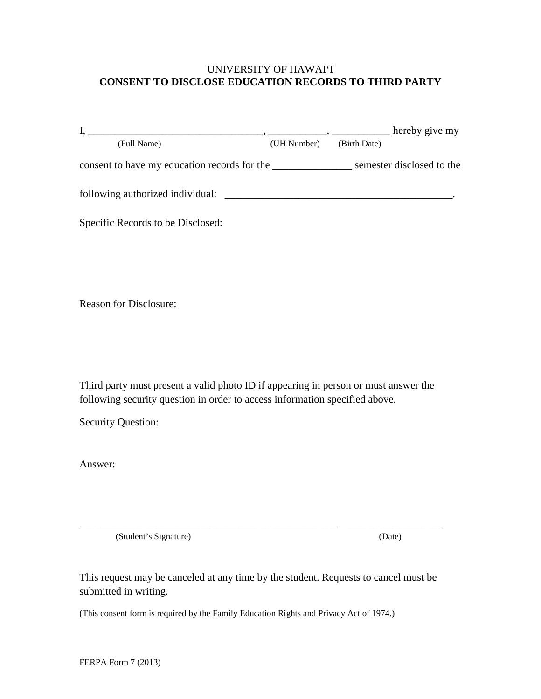#### UNIVERSITY OF HAWAI'I **CONSENT TO DISCLOSE EDUCATION RECORDS TO THIRD PARTY**

|                                              |             |              | hereby give my            |
|----------------------------------------------|-------------|--------------|---------------------------|
| (Full Name)                                  | (UH Number) | (Birth Date) |                           |
| consent to have my education records for the |             |              | semester disclosed to the |
| following authorized individual:             |             |              |                           |
| Specific Records to be Disclosed:            |             |              |                           |

Reason for Disclosure:

Third party must present a valid photo ID if appearing in person or must answer the following security question in order to access information specified above.

Security Question:

Answer:

(Student's Signature) (Date)

This request may be canceled at any time by the student. Requests to cancel must be submitted in writing.

\_\_\_\_\_\_\_\_\_\_\_\_\_\_\_\_\_\_\_\_\_\_\_\_\_\_\_\_\_\_\_\_\_\_\_\_\_\_\_\_\_\_\_\_\_\_\_\_\_ \_\_\_\_\_\_\_\_\_\_\_\_\_\_\_\_\_\_

(This consent form is required by the Family Education Rights and Privacy Act of 1974.)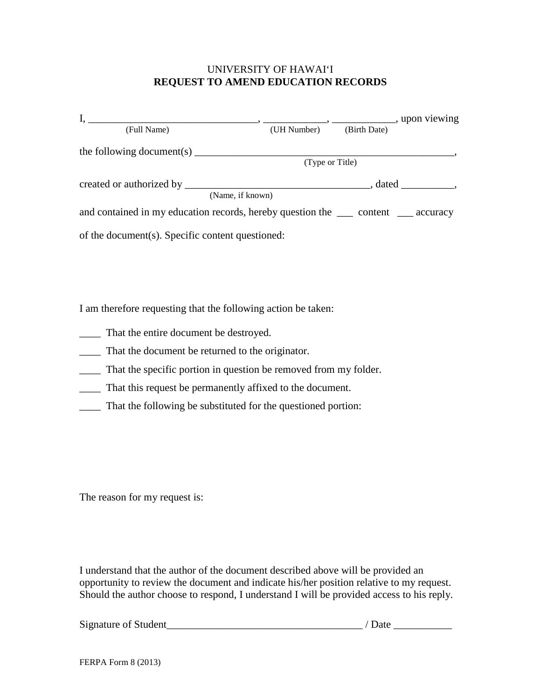#### UNIVERSITY OF HAWAI'I **REQUEST TO AMEND EDUCATION RECORDS**

| (Full Name)                                                                                                                                                                                                                                                                                                                                                                                                | (UH Number)     | (Birth Date) |                       |
|------------------------------------------------------------------------------------------------------------------------------------------------------------------------------------------------------------------------------------------------------------------------------------------------------------------------------------------------------------------------------------------------------------|-----------------|--------------|-----------------------|
| the following document(s) $\frac{1}{\sqrt{1-\frac{1}{\sqrt{1-\frac{1}{\sqrt{1-\frac{1}{\sqrt{1-\frac{1}{\sqrt{1-\frac{1}{\sqrt{1-\frac{1}{\sqrt{1-\frac{1}{\sqrt{1-\frac{1}{\sqrt{1-\frac{1}{\sqrt{1-\frac{1}{\sqrt{1-\frac{1}{\sqrt{1-\frac{1}{\sqrt{1-\frac{1}{\sqrt{1-\frac{1}{\sqrt{1-\frac{1}{\sqrt{1-\frac{1}{\sqrt{1-\frac{1}{\sqrt{1-\frac{1}{\sqrt{1-\frac{1}{\sqrt{1-\frac{1}{\sqrt{1-\frac{1}{$ |                 |              |                       |
|                                                                                                                                                                                                                                                                                                                                                                                                            | (Type or Title) |              |                       |
|                                                                                                                                                                                                                                                                                                                                                                                                            |                 |              | $\cdot$ dated $\cdot$ |
| (Name, if known)                                                                                                                                                                                                                                                                                                                                                                                           |                 |              |                       |
| and contained in my education records, hereby question the ______ content ______ accuracy                                                                                                                                                                                                                                                                                                                  |                 |              |                       |
| of the document(s). Specific content questioned:                                                                                                                                                                                                                                                                                                                                                           |                 |              |                       |

I am therefore requesting that the following action be taken:

- \_\_\_\_ That the entire document be destroyed.
- \_\_\_\_ That the document be returned to the originator.
- \_\_\_\_ That the specific portion in question be removed from my folder.
- \_\_\_\_ That this request be permanently affixed to the document.
- \_\_\_\_ That the following be substituted for the questioned portion:

The reason for my request is:

I understand that the author of the document described above will be provided an opportunity to review the document and indicate his/her position relative to my request. Should the author choose to respond, I understand I will be provided access to his reply.

Signature of Student\_\_\_\_\_\_\_\_\_\_\_\_\_\_\_\_\_\_\_\_\_\_\_\_\_\_\_\_\_\_\_\_\_\_\_\_\_ / Date \_\_\_\_\_\_\_\_\_\_\_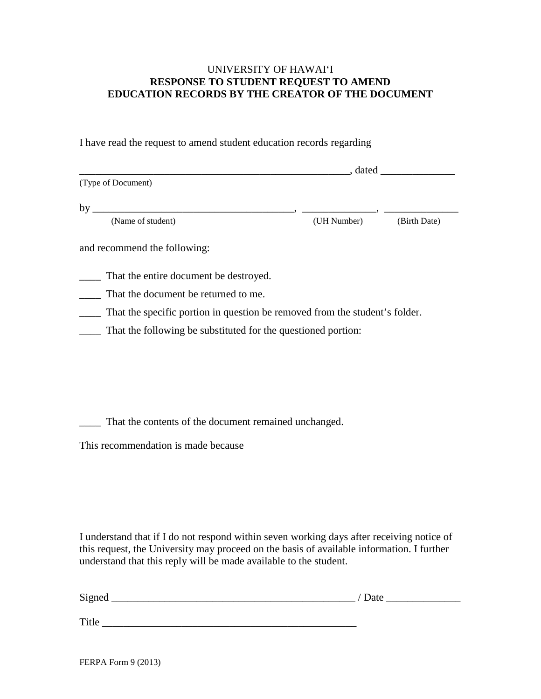### UNIVERSITY OF HAWAI'I **RESPONSE TO STUDENT REQUEST TO AMEND EDUCATION RECORDS BY THE CREATOR OF THE DOCUMENT**

I have read the request to amend student education records regarding

|                                                                             | , dated     |              |
|-----------------------------------------------------------------------------|-------------|--------------|
| (Type of Document)                                                          |             |              |
| by                                                                          |             |              |
| (Name of student)                                                           | (UH Number) | (Birth Date) |
| and recommend the following:                                                |             |              |
| That the entire document be destroyed.                                      |             |              |
| That the document be returned to me.                                        |             |              |
| That the specific portion in question be removed from the student's folder. |             |              |
| That the following be substituted for the questioned portion:               |             |              |
|                                                                             |             |              |

\_\_\_\_ That the contents of the document remained unchanged.

This recommendation is made because

I understand that if I do not respond within seven working days after receiving notice of this request, the University may proceed on the basis of available information. I further understand that this reply will be made available to the student.

| Signed | / Date |
|--------|--------|
|        |        |
| Title  |        |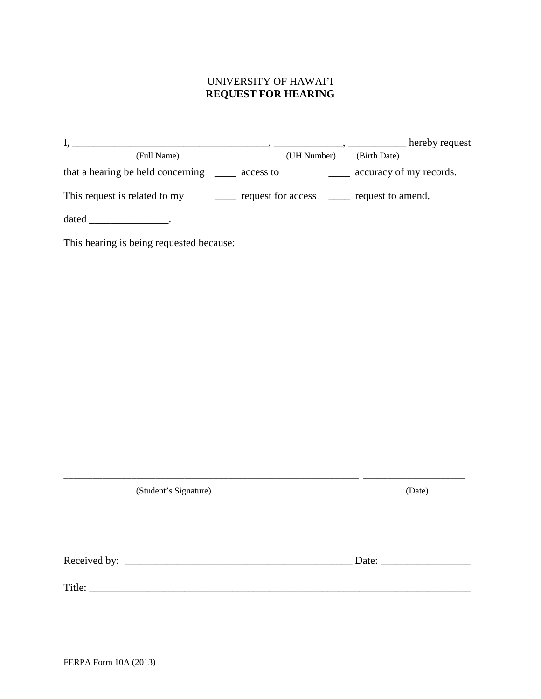# UNIVERSITY OF HAWAI'I **REQUEST FOR HEARING**

|                                   |                    | hereby request          |
|-----------------------------------|--------------------|-------------------------|
| (Full Name)                       | (UH Number)        | (Birth Date)            |
| that a hearing be held concerning | access to          | accuracy of my records. |
| This request is related to my     | request for access | request to amend,       |
| dated                             |                    |                         |

This hearing is being requested because:

| (Date)                                                   |
|----------------------------------------------------------|
|                                                          |
| Date: $\frac{1}{\sqrt{1-\frac{1}{2}} \cdot \frac{1}{2}}$ |
|                                                          |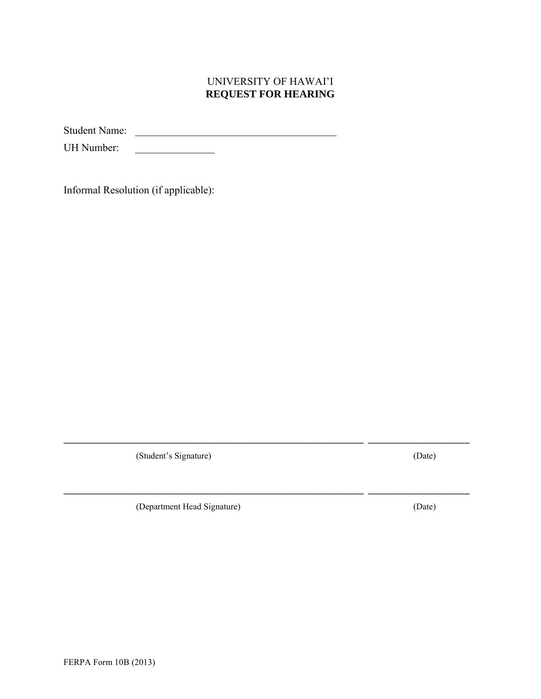## UNIVERSITY OF HAWAI'I **REQUEST FOR HEARING**

\_\_\_\_\_\_\_\_\_\_\_\_\_\_\_\_\_\_\_\_\_\_\_\_\_\_\_\_\_\_\_\_\_\_\_\_\_\_\_\_\_\_\_\_\_\_\_\_\_\_\_\_\_\_\_\_\_\_\_\_\_\_ \_\_\_\_\_\_\_\_\_\_\_\_\_\_\_\_\_\_\_\_\_

\_\_\_\_\_\_\_\_\_\_\_\_\_\_\_\_\_\_\_\_\_\_\_\_\_\_\_\_\_\_\_\_\_\_\_\_\_\_\_\_\_\_\_\_\_\_\_\_\_\_\_\_\_\_\_\_\_\_\_\_\_\_ \_\_\_\_\_\_\_\_\_\_\_\_\_\_\_\_\_\_\_\_\_

Student Name:

UH Number: \_\_\_\_\_\_\_\_\_\_\_\_\_\_\_

Informal Resolution (if applicable):

(Student's Signature) (Date)

(Department Head Signature) (Date)